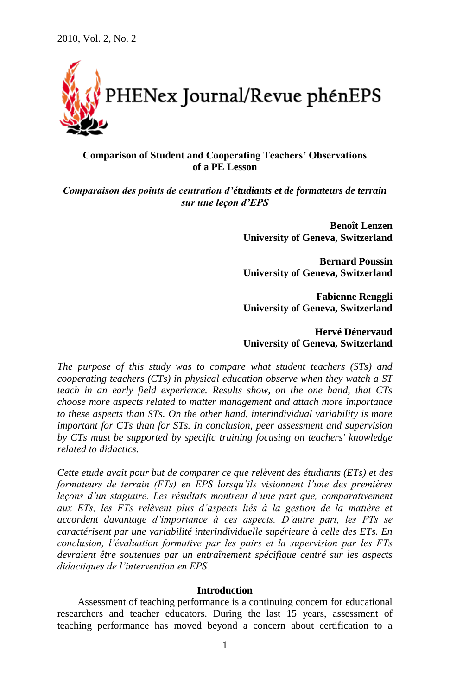

# **Comparison of Student and Cooperating Teachers' Observations of a PE Lesson**

*Comparaison des points de centration d'étudiants et de formateurs de terrain sur une leçon d'EPS*

> **Benoît Lenzen University of Geneva, Switzerland**

> **Bernard Poussin University of Geneva, Switzerland**

> **Fabienne Renggli University of Geneva, Switzerland**

> **Hervé Dénervaud University of Geneva, Switzerland**

*The purpose of this study was to compare what student teachers (STs) and cooperating teachers (CTs) in physical education observe when they watch a ST teach in an early field experience. Results show, on the one hand, that CTs choose more aspects related to matter management and attach more importance to these aspects than STs. On the other hand, interindividual variability is more important for CTs than for STs. In conclusion, peer assessment and supervision by CTs must be supported by specific training focusing on teachers' knowledge related to didactics.*

*Cette etude avait pour but de comparer ce que relèvent des étudiants (ETs) et des formateurs de terrain (FTs) en EPS lorsqu'ils visionnent l'une des premières leçons d'un stagiaire. Les résultats montrent d'une part que, comparativement aux ETs, les FTs relèvent plus d'aspects liés à la gestion de la matière et accordent davantage d'importance à ces aspects. D'autre part, les FTs se caractérisent par une variabilité interindividuelle supérieure à celle des ETs. En conclusion, l'évaluation formative par les pairs et la supervision par les FTs devraient être soutenues par un entraînement spécifique centré sur les aspects didactiques de l'intervention en EPS.* 

#### **Introduction**

Assessment of teaching performance is a continuing concern for educational researchers and teacher educators. During the last 15 years, assessment of teaching performance has moved beyond a concern about certification to a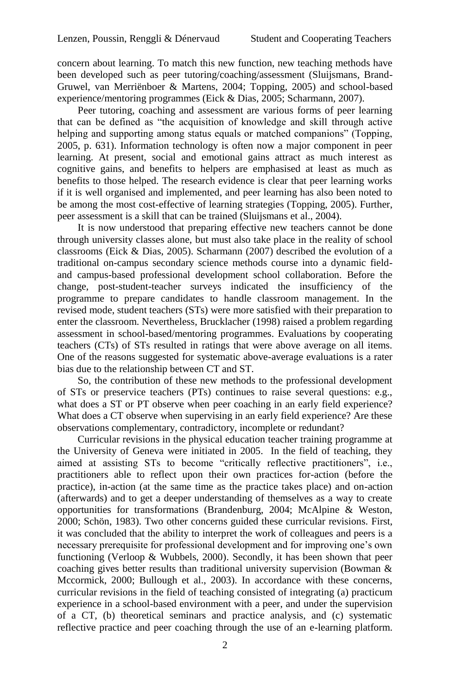concern about learning. To match this new function, new teaching methods have been developed such as peer tutoring/coaching/assessment (Sluijsmans, Brand-Gruwel, van Merriënboer & Martens, 2004; Topping, 2005) and school-based experience/mentoring programmes (Eick & Dias, 2005; Scharmann, 2007).

Peer tutoring, coaching and assessment are various forms of peer learning that can be defined as "the acquisition of knowledge and skill through active helping and supporting among status equals or matched companions" (Topping, 2005, p. 631). Information technology is often now a major component in peer learning. At present, social and emotional gains attract as much interest as cognitive gains, and benefits to helpers are emphasised at least as much as benefits to those helped. The research evidence is clear that peer learning works if it is well organised and implemented, and peer learning has also been noted to be among the most cost-effective of learning strategies (Topping, 2005). Further, peer assessment is a skill that can be trained (Sluijsmans et al., 2004).

It is now understood that preparing effective new teachers cannot be done through university classes alone, but must also take place in the reality of school classrooms (Eick & Dias, 2005). Scharmann (2007) described the evolution of a traditional on-campus secondary science methods course into a dynamic fieldand campus-based professional development school collaboration. Before the change, post-student-teacher surveys indicated the insufficiency of the programme to prepare candidates to handle classroom management. In the revised mode, student teachers (STs) were more satisfied with their preparation to enter the classroom. Nevertheless, Brucklacher (1998) raised a problem regarding assessment in school-based/mentoring programmes. Evaluations by cooperating teachers (CTs) of STs resulted in ratings that were above average on all items. One of the reasons suggested for systematic above-average evaluations is a rater bias due to the relationship between CT and ST.

So, the contribution of these new methods to the professional development of STs or preservice teachers (PTs) continues to raise several questions: e.g., what does a ST or PT observe when peer coaching in an early field experience? What does a CT observe when supervising in an early field experience? Are these observations complementary, contradictory, incomplete or redundant?

Curricular revisions in the physical education teacher training programme at the University of Geneva were initiated in 2005. In the field of teaching, they aimed at assisting STs to become "critically reflective practitioners", i.e., practitioners able to reflect upon their own practices for-action (before the practice), in-action (at the same time as the practice takes place) and on-action (afterwards) and to get a deeper understanding of themselves as a way to create opportunities for transformations (Brandenburg, 2004; McAlpine & Weston, 2000; Schön, 1983). Two other concerns guided these curricular revisions. First, it was concluded that the ability to interpret the work of colleagues and peers is a necessary prerequisite for professional development and for improving one"s own functioning (Verloop & Wubbels, 2000). Secondly, it has been shown that peer coaching gives better results than traditional university supervision (Bowman & Mccormick, 2000; Bullough et al., 2003). In accordance with these concerns, curricular revisions in the field of teaching consisted of integrating (a) practicum experience in a school-based environment with a peer, and under the supervision of a CT, (b) theoretical seminars and practice analysis, and (c) systematic reflective practice and peer coaching through the use of an e-learning platform.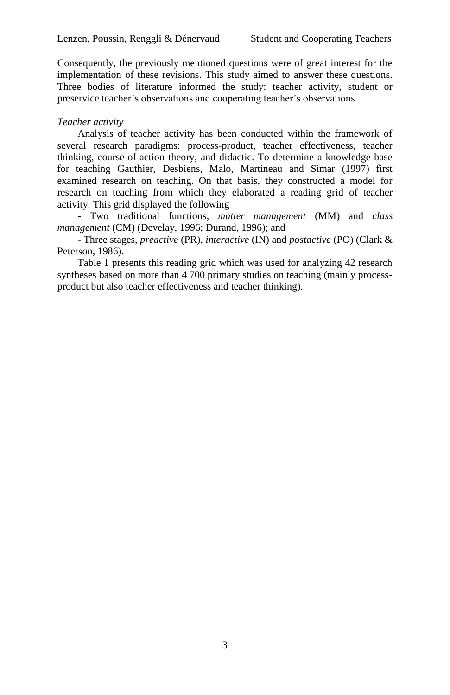Consequently, the previously mentioned questions were of great interest for the implementation of these revisions. This study aimed to answer these questions. Three bodies of literature informed the study: teacher activity, student or preservice teacher's observations and cooperating teacher's observations.

# *Teacher activity*

Analysis of teacher activity has been conducted within the framework of several research paradigms: process-product, teacher effectiveness, teacher thinking, course-of-action theory, and didactic. To determine a knowledge base for teaching Gauthier, Desbiens, Malo, Martineau and Simar (1997) first examined research on teaching. On that basis, they constructed a model for research on teaching from which they elaborated a reading grid of teacher activity. This grid displayed the following

- Two traditional functions, *matter management* (MM) and *class management* (CM) (Develay, 1996; Durand, 1996); and

- Three stages, *preactive* (PR), *interactive* (IN) and *postactive* (PO) (Clark & Peterson, 1986).

Table 1 presents this reading grid which was used for analyzing 42 research syntheses based on more than 4 700 primary studies on teaching (mainly processproduct but also teacher effectiveness and teacher thinking).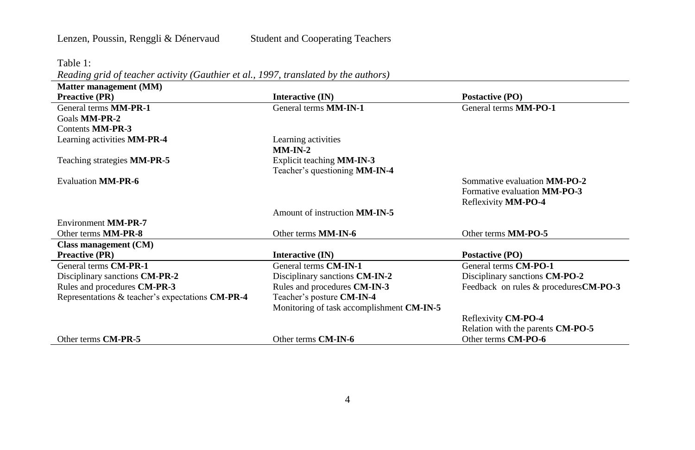Table 1:

*Reading grid of teacher activity (Gauthier et al., 1997, translated by the authors)*

| Matter management (MM)                           |                                           |                                        |
|--------------------------------------------------|-------------------------------------------|----------------------------------------|
| <b>Preactive (PR)</b>                            | Interactive (IN)                          | Postactive (PO)                        |
| General terms <b>MM-PR-1</b>                     | General terms <b>MM-IN-1</b>              | General terms MM-PO-1                  |
| Goals MM-PR-2                                    |                                           |                                        |
| Contents MM-PR-3                                 |                                           |                                        |
| Learning activities MM-PR-4                      | Learning activities                       |                                        |
|                                                  | $MM-IN-2$                                 |                                        |
| Teaching strategies <b>MM-PR-5</b>               | Explicit teaching <b>MM-IN-3</b>          |                                        |
|                                                  | Teacher's questioning MM-IN-4             |                                        |
| <b>Evaluation MM-PR-6</b>                        |                                           | Sommative evaluation <b>MM-PO-2</b>    |
|                                                  |                                           | Formative evaluation MM-PO-3           |
|                                                  |                                           | Reflexivity MM-PO-4                    |
|                                                  | Amount of instruction MM-IN-5             |                                        |
| Environment MM-PR-7                              |                                           |                                        |
| Other terms MM-PR-8                              | Other terms MM-IN-6                       | Other terms MM-PO-5                    |
| Class management (CM)                            |                                           |                                        |
| <b>Preactive (PR)</b>                            | Interactive (IN)                          | Postactive (PO)                        |
| General terms CM-PR-1                            | General terms CM-IN-1                     | General terms CM-PO-1                  |
| Disciplinary sanctions <b>CM-PR-2</b>            | Disciplinary sanctions CM-IN-2            | Disciplinary sanctions <b>CM-PO-2</b>  |
| Rules and procedures CM-PR-3                     | Rules and procedures CM-IN-3              | Feedback on rules & procedures CM-PO-3 |
| Representations & teacher's expectations CM-PR-4 | Teacher's posture CM-IN-4                 |                                        |
|                                                  | Monitoring of task accomplishment CM-IN-5 |                                        |
|                                                  |                                           | Reflexivity CM-PO-4                    |
|                                                  |                                           | Relation with the parents CM-PO-5      |
| Other terms CM-PR-5                              | Other terms CM-IN-6                       | Other terms CM-PO-6                    |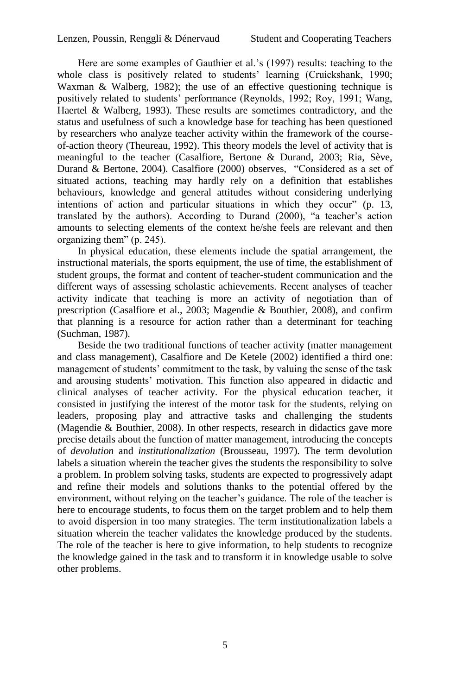Here are some examples of Gauthier et al."s (1997) results: teaching to the whole class is positively related to students' learning (Cruickshank, 1990; Waxman & Walberg, 1982); the use of an effective questioning technique is positively related to students" performance (Reynolds, 1992; Roy, 1991; Wang, Haertel & Walberg, 1993). These results are sometimes contradictory, and the status and usefulness of such a knowledge base for teaching has been questioned by researchers who analyze teacher activity within the framework of the courseof-action theory (Theureau, 1992). This theory models the level of activity that is meaningful to the teacher (Casalfiore, Bertone & Durand, 2003; Ria, Sève, Durand & Bertone, 2004). Casalfiore (2000) observes, "Considered as a set of situated actions, teaching may hardly rely on a definition that establishes behaviours, knowledge and general attitudes without considering underlying intentions of action and particular situations in which they occur" (p. 13, translated by the authors). According to Durand (2000), "a teacher's action amounts to selecting elements of the context he/she feels are relevant and then organizing them" (p. 245).

In physical education, these elements include the spatial arrangement, the instructional materials, the sports equipment, the use of time, the establishment of student groups, the format and content of teacher-student communication and the different ways of assessing scholastic achievements. Recent analyses of teacher activity indicate that teaching is more an activity of negotiation than of prescription (Casalfiore et al., 2003; Magendie & Bouthier, 2008), and confirm that planning is a resource for action rather than a determinant for teaching (Suchman, 1987).

Beside the two traditional functions of teacher activity (matter management and class management), Casalfiore and De Ketele (2002) identified a third one: management of students' commitment to the task, by valuing the sense of the task and arousing students" motivation. This function also appeared in didactic and clinical analyses of teacher activity. For the physical education teacher, it consisted in justifying the interest of the motor task for the students, relying on leaders, proposing play and attractive tasks and challenging the students (Magendie & Bouthier, 2008). In other respects, research in didactics gave more precise details about the function of matter management, introducing the concepts of *devolution* and *institutionalization* (Brousseau, 1997). The term devolution labels a situation wherein the teacher gives the students the responsibility to solve a problem. In problem solving tasks, students are expected to progressively adapt and refine their models and solutions thanks to the potential offered by the environment, without relying on the teacher's guidance. The role of the teacher is here to encourage students, to focus them on the target problem and to help them to avoid dispersion in too many strategies. The term institutionalization labels a situation wherein the teacher validates the knowledge produced by the students. The role of the teacher is here to give information, to help students to recognize the knowledge gained in the task and to transform it in knowledge usable to solve other problems.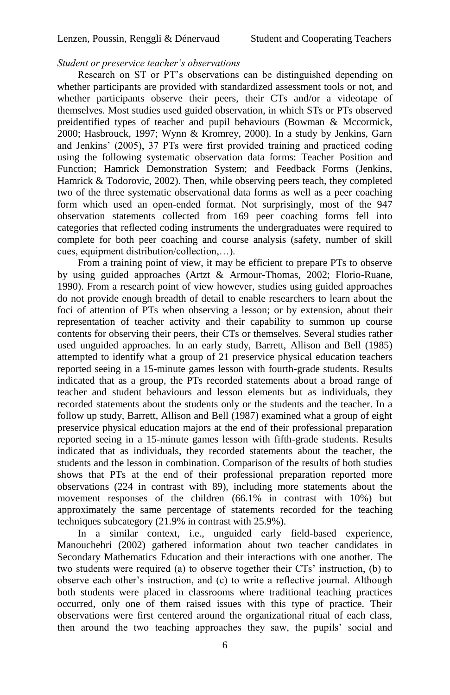# *Student or preservice teacher's observations*

Research on ST or PT"s observations can be distinguished depending on whether participants are provided with standardized assessment tools or not, and whether participants observe their peers, their CTs and/or a videotape of themselves. Most studies used guided observation, in which STs or PTs observed preidentified types of teacher and pupil behaviours (Bowman & Mccormick, 2000; Hasbrouck, 1997; Wynn & Kromrey, 2000). In a study by Jenkins, Garn and Jenkins" (2005), 37 PTs were first provided training and practiced coding using the following systematic observation data forms: Teacher Position and Function; Hamrick Demonstration System; and Feedback Forms (Jenkins, Hamrick & Todorovic, 2002). Then, while observing peers teach, they completed two of the three systematic observational data forms as well as a peer coaching form which used an open-ended format. Not surprisingly, most of the 947 observation statements collected from 169 peer coaching forms fell into categories that reflected coding instruments the undergraduates were required to complete for both peer coaching and course analysis (safety, number of skill cues, equipment distribution/collection,…).

From a training point of view, it may be efficient to prepare PTs to observe by using guided approaches (Artzt & Armour-Thomas, 2002; Florio-Ruane, 1990). From a research point of view however, studies using guided approaches do not provide enough breadth of detail to enable researchers to learn about the foci of attention of PTs when observing a lesson; or by extension, about their representation of teacher activity and their capability to summon up course contents for observing their peers, their CTs or themselves. Several studies rather used unguided approaches. In an early study, Barrett, Allison and Bell (1985) attempted to identify what a group of 21 preservice physical education teachers reported seeing in a 15-minute games lesson with fourth-grade students. Results indicated that as a group, the PTs recorded statements about a broad range of teacher and student behaviours and lesson elements but as individuals, they recorded statements about the students only or the students and the teacher. In a follow up study, Barrett, Allison and Bell (1987) examined what a group of eight preservice physical education majors at the end of their professional preparation reported seeing in a 15-minute games lesson with fifth-grade students. Results indicated that as individuals, they recorded statements about the teacher, the students and the lesson in combination. Comparison of the results of both studies shows that PTs at the end of their professional preparation reported more observations (224 in contrast with 89), including more statements about the movement responses of the children (66.1% in contrast with 10%) but approximately the same percentage of statements recorded for the teaching techniques subcategory (21.9% in contrast with 25.9%).

In a similar context, i.e., unguided early field-based experience, Manouchehri (2002) gathered information about two teacher candidates in Secondary Mathematics Education and their interactions with one another. The two students were required (a) to observe together their CTs" instruction, (b) to observe each other"s instruction, and (c) to write a reflective journal. Although both students were placed in classrooms where traditional teaching practices occurred, only one of them raised issues with this type of practice. Their observations were first centered around the organizational ritual of each class, then around the two teaching approaches they saw, the pupils" social and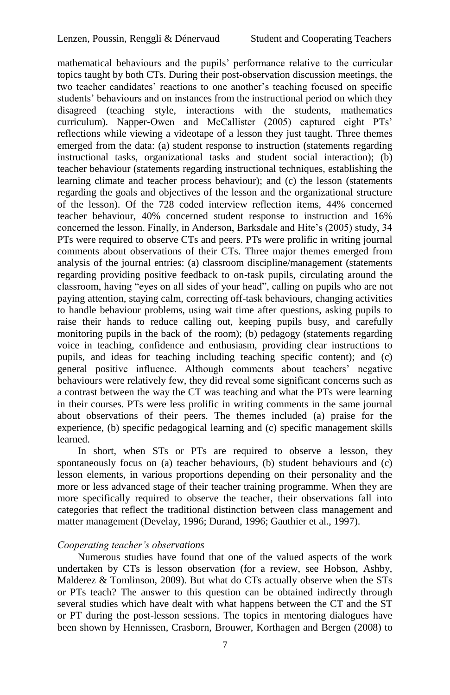mathematical behaviours and the pupils" performance relative to the curricular topics taught by both CTs. During their post-observation discussion meetings, the two teacher candidates' reactions to one another's teaching focused on specific students' behaviours and on instances from the instructional period on which they disagreed (teaching style, interactions with the students, mathematics curriculum). Napper-Owen and McCallister (2005) captured eight PTs" reflections while viewing a videotape of a lesson they just taught. Three themes emerged from the data: (a) student response to instruction (statements regarding instructional tasks, organizational tasks and student social interaction); (b) teacher behaviour (statements regarding instructional techniques, establishing the learning climate and teacher process behaviour); and (c) the lesson (statements regarding the goals and objectives of the lesson and the organizational structure of the lesson). Of the 728 coded interview reflection items, 44% concerned teacher behaviour, 40% concerned student response to instruction and 16% concerned the lesson. Finally, in Anderson, Barksdale and Hite's (2005) study, 34 PTs were required to observe CTs and peers. PTs were prolific in writing journal comments about observations of their CTs. Three major themes emerged from analysis of the journal entries: (a) classroom discipline/management (statements regarding providing positive feedback to on-task pupils, circulating around the classroom, having "eyes on all sides of your head", calling on pupils who are not paying attention, staying calm, correcting off-task behaviours, changing activities to handle behaviour problems, using wait time after questions, asking pupils to raise their hands to reduce calling out, keeping pupils busy, and carefully monitoring pupils in the back of the room); (b) pedagogy (statements regarding voice in teaching, confidence and enthusiasm, providing clear instructions to pupils, and ideas for teaching including teaching specific content); and (c) general positive influence. Although comments about teachers" negative behaviours were relatively few, they did reveal some significant concerns such as a contrast between the way the CT was teaching and what the PTs were learning in their courses. PTs were less prolific in writing comments in the same journal about observations of their peers. The themes included (a) praise for the experience, (b) specific pedagogical learning and (c) specific management skills learned.

In short, when STs or PTs are required to observe a lesson, they spontaneously focus on (a) teacher behaviours, (b) student behaviours and (c) lesson elements, in various proportions depending on their personality and the more or less advanced stage of their teacher training programme. When they are more specifically required to observe the teacher, their observations fall into categories that reflect the traditional distinction between class management and matter management (Develay, 1996; Durand, 1996; Gauthier et al., 1997).

## *Cooperating teacher's observations*

Numerous studies have found that one of the valued aspects of the work undertaken by CTs is lesson observation (for a review, see Hobson, Ashby, Malderez & Tomlinson, 2009). But what do CTs actually observe when the STs or PTs teach? The answer to this question can be obtained indirectly through several studies which have dealt with what happens between the CT and the ST or PT during the post-lesson sessions. The topics in mentoring dialogues have been shown by Hennissen, Crasborn, Brouwer, Korthagen and Bergen (2008) to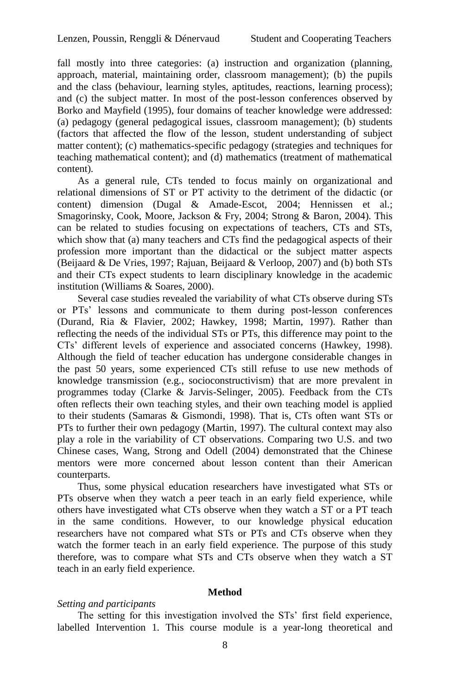fall mostly into three categories: (a) instruction and organization (planning, approach, material, maintaining order, classroom management); (b) the pupils and the class (behaviour, learning styles, aptitudes, reactions, learning process); and (c) the subject matter. In most of the post-lesson conferences observed by Borko and Mayfield (1995), four domains of teacher knowledge were addressed: (a) pedagogy (general pedagogical issues, classroom management); (b) students (factors that affected the flow of the lesson, student understanding of subject matter content); (c) mathematics-specific pedagogy (strategies and techniques for teaching mathematical content); and (d) mathematics (treatment of mathematical content).

As a general rule, CTs tended to focus mainly on organizational and relational dimensions of ST or PT activity to the detriment of the didactic (or content) dimension (Dugal & Amade-Escot, 2004; Hennissen et al.; Smagorinsky, Cook, Moore, Jackson & Fry, 2004; Strong & Baron, 2004). This can be related to studies focusing on expectations of teachers, CTs and STs, which show that (a) many teachers and CTs find the pedagogical aspects of their profession more important than the didactical or the subject matter aspects (Beijaard & De Vries, 1997; Rajuan, Beijaard & Verloop, 2007) and (b) both STs and their CTs expect students to learn disciplinary knowledge in the academic institution (Williams & Soares, 2000).

Several case studies revealed the variability of what CTs observe during STs or PTs" lessons and communicate to them during post-lesson conferences (Durand, Ria & Flavier, 2002; Hawkey, 1998; Martin, 1997). Rather than reflecting the needs of the individual STs or PTs, this difference may point to the CTs" different levels of experience and associated concerns (Hawkey, 1998). Although the field of teacher education has undergone considerable changes in the past 50 years, some experienced CTs still refuse to use new methods of knowledge transmission (e.g., socioconstructivism) that are more prevalent in programmes today (Clarke & Jarvis-Selinger, 2005). Feedback from the CTs often reflects their own teaching styles, and their own teaching model is applied to their students (Samaras & Gismondi, 1998). That is, CTs often want STs or PTs to further their own pedagogy (Martin, 1997). The cultural context may also play a role in the variability of CT observations. Comparing two U.S. and two Chinese cases, Wang, Strong and Odell (2004) demonstrated that the Chinese mentors were more concerned about lesson content than their American counterparts.

Thus, some physical education researchers have investigated what STs or PTs observe when they watch a peer teach in an early field experience, while others have investigated what CTs observe when they watch a ST or a PT teach in the same conditions. However, to our knowledge physical education researchers have not compared what STs or PTs and CTs observe when they watch the former teach in an early field experience. The purpose of this study therefore, was to compare what STs and CTs observe when they watch a ST teach in an early field experience.

## **Method**

#### *Setting and participants*

The setting for this investigation involved the STs' first field experience, labelled Intervention 1. This course module is a year-long theoretical and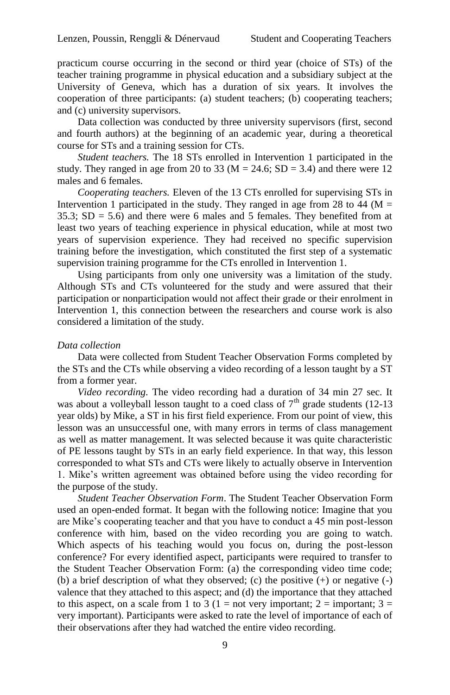practicum course occurring in the second or third year (choice of STs) of the teacher training programme in physical education and a subsidiary subject at the University of Geneva, which has a duration of six years. It involves the cooperation of three participants: (a) student teachers; (b) cooperating teachers; and (c) university supervisors.

Data collection was conducted by three university supervisors (first, second and fourth authors) at the beginning of an academic year, during a theoretical course for STs and a training session for CTs.

*Student teachers.* The 18 STs enrolled in Intervention 1 participated in the study. They ranged in age from 20 to 33 ( $M = 24.6$ ; SD = 3.4) and there were 12 males and 6 females.

*Cooperating teachers.* Eleven of the 13 CTs enrolled for supervising STs in Intervention 1 participated in the study. They ranged in age from 28 to 44 ( $M =$ 35.3;  $SD = 5.6$ ) and there were 6 males and 5 females. They benefited from at least two years of teaching experience in physical education, while at most two years of supervision experience. They had received no specific supervision training before the investigation, which constituted the first step of a systematic supervision training programme for the CTs enrolled in Intervention 1.

Using participants from only one university was a limitation of the study. Although STs and CTs volunteered for the study and were assured that their participation or nonparticipation would not affect their grade or their enrolment in Intervention 1, this connection between the researchers and course work is also considered a limitation of the study.

#### *Data collection*

Data were collected from Student Teacher Observation Forms completed by the STs and the CTs while observing a video recording of a lesson taught by a ST from a former year.

*Video recording.* The video recording had a duration of 34 min 27 sec. It was about a volleyball lesson taught to a coed class of  $7<sup>th</sup>$  grade students (12-13 year olds) by Mike, a ST in his first field experience. From our point of view, this lesson was an unsuccessful one, with many errors in terms of class management as well as matter management. It was selected because it was quite characteristic of PE lessons taught by STs in an early field experience. In that way, this lesson corresponded to what STs and CTs were likely to actually observe in Intervention 1. Mike"s written agreement was obtained before using the video recording for the purpose of the study.

*Student Teacher Observation Form*. The Student Teacher Observation Form used an open-ended format. It began with the following notice: Imagine that you are Mike"s cooperating teacher and that you have to conduct a 45 min post-lesson conference with him, based on the video recording you are going to watch. Which aspects of his teaching would you focus on, during the post-lesson conference? For every identified aspect, participants were required to transfer to the Student Teacher Observation Form: (a) the corresponding video time code; (b) a brief description of what they observed; (c) the positive (+) or negative (-) valence that they attached to this aspect; and (d) the importance that they attached to this aspect, on a scale from 1 to 3 (1 = not very important; 2 = important; 3 = very important). Participants were asked to rate the level of importance of each of their observations after they had watched the entire video recording.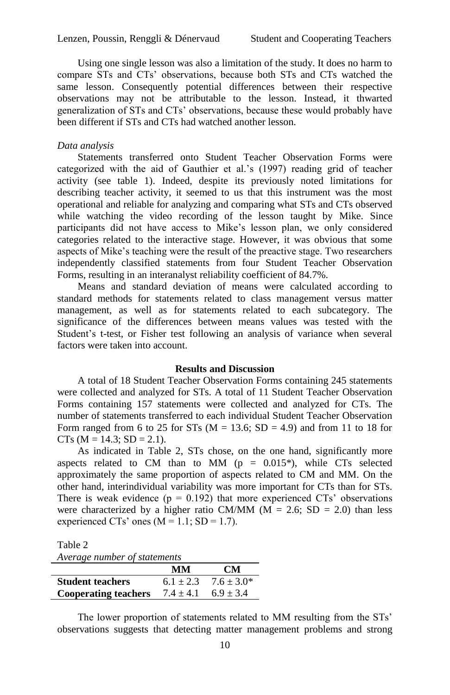Using one single lesson was also a limitation of the study. It does no harm to compare STs and CTs" observations, because both STs and CTs watched the same lesson. Consequently potential differences between their respective observations may not be attributable to the lesson. Instead, it thwarted generalization of STs and CTs" observations, because these would probably have been different if STs and CTs had watched another lesson.

#### *Data analysis*

Statements transferred onto Student Teacher Observation Forms were categorized with the aid of Gauthier et al."s (1997) reading grid of teacher activity (see table 1). Indeed, despite its previously noted limitations for describing teacher activity, it seemed to us that this instrument was the most operational and reliable for analyzing and comparing what STs and CTs observed while watching the video recording of the lesson taught by Mike. Since participants did not have access to Mike's lesson plan, we only considered categories related to the interactive stage. However, it was obvious that some aspects of Mike's teaching were the result of the preactive stage. Two researchers independently classified statements from four Student Teacher Observation Forms, resulting in an interanalyst reliability coefficient of 84.7%.

Means and standard deviation of means were calculated according to standard methods for statements related to class management versus matter management, as well as for statements related to each subcategory. The significance of the differences between means values was tested with the Student's t-test, or Fisher test following an analysis of variance when several factors were taken into account.

### **Results and Discussion**

A total of 18 Student Teacher Observation Forms containing 245 statements were collected and analyzed for STs. A total of 11 Student Teacher Observation Forms containing 157 statements were collected and analyzed for CTs. The number of statements transferred to each individual Student Teacher Observation Form ranged from 6 to 25 for STs ( $M = 13.6$ ; SD = 4.9) and from 11 to 18 for  $CTs$  (M = 14.3; SD = 2.1).

As indicated in Table 2, STs chose, on the one hand, significantly more aspects related to CM than to MM ( $p = 0.015$ <sup>\*</sup>), while CTs selected approximately the same proportion of aspects related to CM and MM. On the other hand, interindividual variability was more important for CTs than for STs. There is weak evidence  $(p = 0.192)$  that more experienced CTs' observations were characterized by a higher ratio CM/MM ( $M = 2.6$ ; SD = 2.0) than less experienced CTs' ones  $(M = 1.1; SD = 1.7)$ .

Table 2

| Average number of statements |  |  |
|------------------------------|--|--|
|------------------------------|--|--|

|                             | MМ            | <b>CM</b>    |
|-----------------------------|---------------|--------------|
| <b>Student teachers</b>     | $6.1 + 2.3$   | $7.6 + 3.0*$ |
| <b>Cooperating teachers</b> | $7.4 \pm 4.1$ | $6.9 + 3.4$  |

The lower proportion of statements related to MM resulting from the STs" observations suggests that detecting matter management problems and strong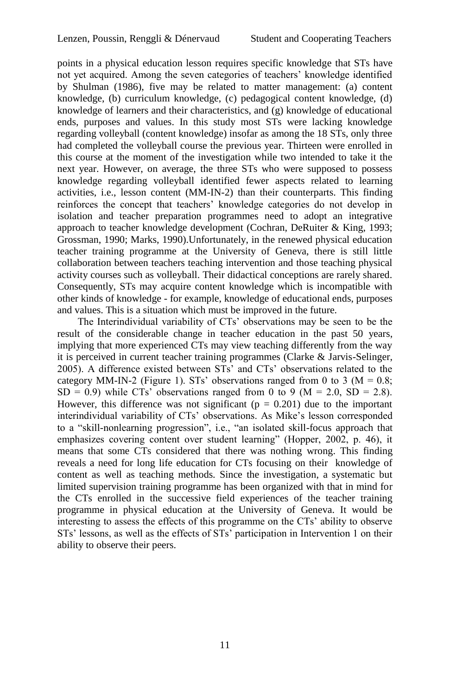points in a physical education lesson requires specific knowledge that STs have not yet acquired. Among the seven categories of teachers" knowledge identified by Shulman (1986), five may be related to matter management: (a) content knowledge, (b) curriculum knowledge, (c) pedagogical content knowledge, (d) knowledge of learners and their characteristics, and (g) knowledge of educational ends, purposes and values. In this study most STs were lacking knowledge regarding volleyball (content knowledge) insofar as among the 18 STs, only three had completed the volleyball course the previous year. Thirteen were enrolled in this course at the moment of the investigation while two intended to take it the next year. However, on average, the three STs who were supposed to possess knowledge regarding volleyball identified fewer aspects related to learning activities, i.e., lesson content (MM-IN-2) than their counterparts. This finding reinforces the concept that teachers" knowledge categories do not develop in isolation and teacher preparation programmes need to adopt an integrative approach to teacher knowledge development (Cochran, DeRuiter & King, 1993; Grossman, 1990; Marks, 1990).Unfortunately, in the renewed physical education teacher training programme at the University of Geneva, there is still little collaboration between teachers teaching intervention and those teaching physical activity courses such as volleyball. Their didactical conceptions are rarely shared. Consequently, STs may acquire content knowledge which is incompatible with other kinds of knowledge - for example, knowledge of educational ends, purposes and values. This is a situation which must be improved in the future.

The Interindividual variability of CTs' observations may be seen to be the result of the considerable change in teacher education in the past 50 years, implying that more experienced CTs may view teaching differently from the way it is perceived in current teacher training programmes (Clarke & Jarvis-Selinger, 2005). A difference existed between STs" and CTs" observations related to the category MM-IN-2 (Figure 1). STs' observations ranged from 0 to 3 ( $M = 0.8$ ;  $SD = 0.9$ ) while CTs' observations ranged from 0 to 9 (M = 2.0, SD = 2.8). However, this difference was not significant ( $p = 0.201$ ) due to the important interindividual variability of CTs' observations. As Mike's lesson corresponded to a "skill-nonlearning progression", i.e., "an isolated skill-focus approach that emphasizes covering content over student learning" (Hopper, 2002, p. 46), it means that some CTs considered that there was nothing wrong. This finding reveals a need for long life education for CTs focusing on their knowledge of content as well as teaching methods. Since the investigation, a systematic but limited supervision training programme has been organized with that in mind for the CTs enrolled in the successive field experiences of the teacher training programme in physical education at the University of Geneva. It would be interesting to assess the effects of this programme on the CTs' ability to observe STs" lessons, as well as the effects of STs" participation in Intervention 1 on their ability to observe their peers.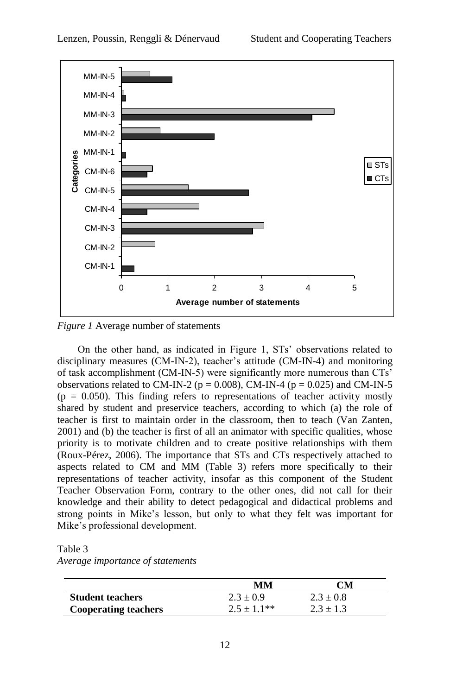

*Figure 1* Average number of statements

On the other hand, as indicated in Figure 1, STs" observations related to disciplinary measures (CM-IN-2), teacher's attitude (CM-IN-4) and monitoring of task accomplishment (CM-IN-5) were significantly more numerous than CTs" observations related to CM-IN-2 ( $p = 0.008$ ), CM-IN-4 ( $p = 0.025$ ) and CM-IN-5  $(p = 0.050)$ . This finding refers to representations of teacher activity mostly shared by student and preservice teachers, according to which (a) the role of teacher is first to maintain order in the classroom, then to teach (Van Zanten, 2001) and (b) the teacher is first of all an animator with specific qualities, whose priority is to motivate children and to create positive relationships with them (Roux-Pérez, 2006). The importance that STs and CTs respectively attached to aspects related to CM and MM (Table 3) refers more specifically to their representations of teacher activity, insofar as this component of the Student Teacher Observation Form, contrary to the other ones, did not call for their knowledge and their ability to detect pedagogical and didactical problems and strong points in Mike"s lesson, but only to what they felt was important for Mike"s professional development.

Table 3

*Average importance of statements*

|                             | MМ            | CM            |
|-----------------------------|---------------|---------------|
| <b>Student teachers</b>     | $2.3 \pm 0.9$ | $2.3 \pm 0.8$ |
| <b>Cooperating teachers</b> | $2.5 + 1.1**$ | $2.3 + 1.3$   |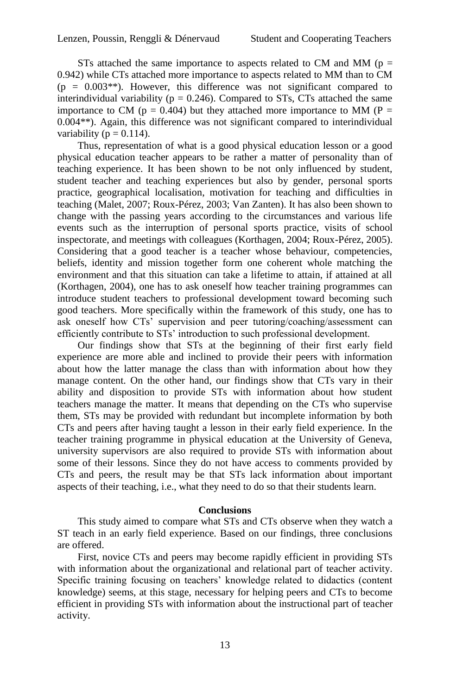STs attached the same importance to aspects related to CM and MM ( $p =$ 0.942) while CTs attached more importance to aspects related to MM than to CM  $(p = 0.003**)$ . However, this difference was not significant compared to interindividual variability ( $p = 0.246$ ). Compared to STs, CTs attached the same importance to CM ( $p = 0.404$ ) but they attached more importance to MM ( $P =$ 0.004\*\*). Again, this difference was not significant compared to interindividual variability ( $p = 0.114$ ).

Thus, representation of what is a good physical education lesson or a good physical education teacher appears to be rather a matter of personality than of teaching experience. It has been shown to be not only influenced by student, student teacher and teaching experiences but also by gender, personal sports practice, geographical localisation, motivation for teaching and difficulties in teaching (Malet, 2007; Roux-Pérez, 2003; Van Zanten). It has also been shown to change with the passing years according to the circumstances and various life events such as the interruption of personal sports practice, visits of school inspectorate, and meetings with colleagues (Korthagen, 2004; Roux-Pérez, 2005). Considering that a good teacher is a teacher whose behaviour, competencies, beliefs, identity and mission together form one coherent whole matching the environment and that this situation can take a lifetime to attain, if attained at all (Korthagen, 2004), one has to ask oneself how teacher training programmes can introduce student teachers to professional development toward becoming such good teachers. More specifically within the framework of this study, one has to ask oneself how CTs<sup>'</sup> supervision and peer tutoring/coaching/assessment can efficiently contribute to STs" introduction to such professional development.

Our findings show that STs at the beginning of their first early field experience are more able and inclined to provide their peers with information about how the latter manage the class than with information about how they manage content. On the other hand, our findings show that CTs vary in their ability and disposition to provide STs with information about how student teachers manage the matter. It means that depending on the CTs who supervise them, STs may be provided with redundant but incomplete information by both CTs and peers after having taught a lesson in their early field experience. In the teacher training programme in physical education at the University of Geneva, university supervisors are also required to provide STs with information about some of their lessons. Since they do not have access to comments provided by CTs and peers, the result may be that STs lack information about important aspects of their teaching, i.e., what they need to do so that their students learn.

#### **Conclusions**

This study aimed to compare what STs and CTs observe when they watch a ST teach in an early field experience. Based on our findings, three conclusions are offered.

First, novice CTs and peers may become rapidly efficient in providing STs with information about the organizational and relational part of teacher activity. Specific training focusing on teachers' knowledge related to didactics (content knowledge) seems, at this stage, necessary for helping peers and CTs to become efficient in providing STs with information about the instructional part of teacher activity.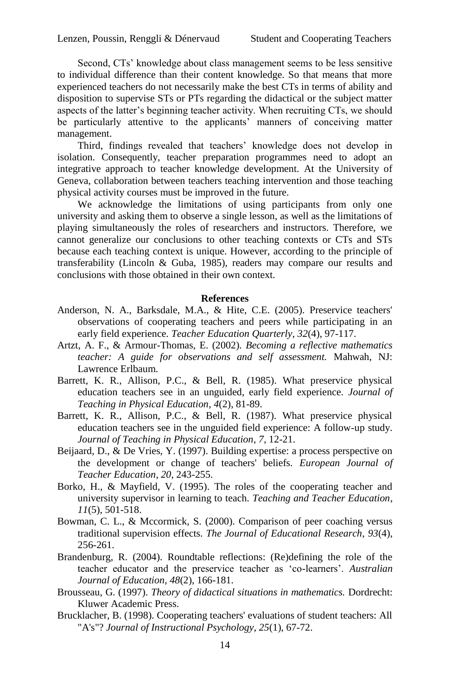Second, CTs" knowledge about class management seems to be less sensitive to individual difference than their content knowledge. So that means that more experienced teachers do not necessarily make the best CTs in terms of ability and disposition to supervise STs or PTs regarding the didactical or the subject matter aspects of the latter"s beginning teacher activity. When recruiting CTs, we should be particularly attentive to the applicants" manners of conceiving matter management.

Third, findings revealed that teachers' knowledge does not develop in isolation. Consequently, teacher preparation programmes need to adopt an integrative approach to teacher knowledge development. At the University of Geneva, collaboration between teachers teaching intervention and those teaching physical activity courses must be improved in the future.

We acknowledge the limitations of using participants from only one university and asking them to observe a single lesson, as well as the limitations of playing simultaneously the roles of researchers and instructors. Therefore, we cannot generalize our conclusions to other teaching contexts or CTs and STs because each teaching context is unique. However, according to the principle of transferability (Lincoln & Guba, 1985), readers may compare our results and conclusions with those obtained in their own context.

## **References**

- Anderson, N. A., Barksdale, M.A., & Hite, C.E. (2005). Preservice teachers' observations of cooperating teachers and peers while participating in an early field experience. *Teacher Education Quarterly*, *32*(4), 97-117.
- Artzt, A. F., & Armour-Thomas, E. (2002). *Becoming a reflective mathematics teacher: A guide for observations and self assessment.* Mahwah, NJ: Lawrence Erlbaum.
- Barrett, K. R., Allison, P.C., & Bell, R. (1985). What preservice physical education teachers see in an unguided, early field experience. *Journal of Teaching in Physical Education*, *4*(2), 81-89.
- Barrett, K. R., Allison, P.C., & Bell, R. (1987). What preservice physical education teachers see in the unguided field experience: A follow-up study. *Journal of Teaching in Physical Education*, *7*, 12-21.
- Beijaard, D., & De Vries, Y. (1997). Building expertise: a process perspective on the development or change of teachers' beliefs. *European Journal of Teacher Education*, *20*, 243-255.
- Borko, H., & Mayfield, V. (1995). The roles of the cooperating teacher and university supervisor in learning to teach. *Teaching and Teacher Education*, *11*(5), 501-518.
- Bowman, C. L., & Mccormick, S. (2000). Comparison of peer coaching versus traditional supervision effects. *The Journal of Educational Research*, *93*(4), 256-261.
- Brandenburg, R. (2004). Roundtable reflections: (Re)defining the role of the teacher educator and the preservice teacher as "co-learners". *Australian Journal of Education*, *48*(2), 166-181.
- Brousseau, G. (1997). *Theory of didactical situations in mathematics.* Dordrecht: Kluwer Academic Press.
- Brucklacher, B. (1998). Cooperating teachers' evaluations of student teachers: All "A's"? *Journal of Instructional Psychology*, *25*(1), 67-72.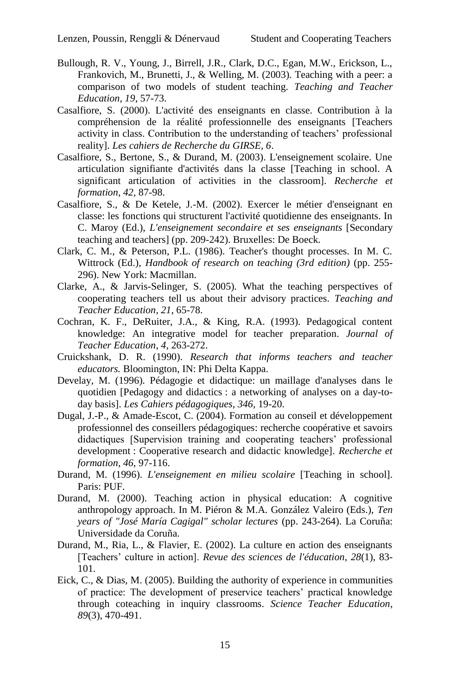- Bullough, R. V., Young, J., Birrell, J.R., Clark, D.C., Egan, M.W., Erickson, L., Frankovich, M., Brunetti, J., & Welling, M. (2003). Teaching with a peer: a comparison of two models of student teaching. *Teaching and Teacher Education*, *19*, 57-73.
- Casalfiore, S. (2000). L'activité des enseignants en classe. Contribution à la compréhension de la réalité professionnelle des enseignants [Teachers activity in class. Contribution to the understanding of teachers" professional reality]. *Les cahiers de Recherche du GIRSE, 6*.
- Casalfiore, S., Bertone, S., & Durand, M. (2003). L'enseignement scolaire. Une articulation signifiante d'activités dans la classe [Teaching in school. A significant articulation of activities in the classroom]. *Recherche et formation*, *42*, 87-98.
- Casalfiore, S., & De Ketele, J.-M. (2002). Exercer le métier d'enseignant en classe: les fonctions qui structurent l'activité quotidienne des enseignants. In C. Maroy (Ed.), *L'enseignement secondaire et ses enseignants* [Secondary teaching and teachers] (pp. 209-242). Bruxelles: De Boeck.
- Clark, C. M., & Peterson, P.L. (1986). Teacher's thought processes. In M. C. Wittrock (Ed.), *Handbook of research on teaching (3rd edition)* (pp. 255- 296). New York: Macmillan.
- Clarke, A., & Jarvis-Selinger, S. (2005). What the teaching perspectives of cooperating teachers tell us about their advisory practices. *Teaching and Teacher Education*, *21*, 65-78.
- Cochran, K. F., DeRuiter, J.A., & King, R.A. (1993). Pedagogical content knowledge: An integrative model for teacher preparation. *Journal of Teacher Education*, *4*, 263-272.
- Cruickshank, D. R. (1990). *Research that informs teachers and teacher educators.* Bloomington, IN: Phi Delta Kappa.
- Develay, M. (1996). Pédagogie et didactique: un maillage d'analyses dans le quotidien [Pedagogy and didactics : a networking of analyses on a day-today basis]. *Les Cahiers pédagogiques*, *346*, 19-20.
- Dugal, J.-P., & Amade-Escot, C. (2004). Formation au conseil et développement professionnel des conseillers pédagogiques: recherche coopérative et savoirs didactiques [Supervision training and cooperating teachers' professional development : Cooperative research and didactic knowledge]. *Recherche et formation*, *46*, 97-116.
- Durand, M. (1996). *L'enseignement en milieu scolaire* [Teaching in school]. Paris: PUF.
- Durand, M. (2000). Teaching action in physical education: A cognitive anthropology approach. In M. Piéron & M.A. González Valeiro (Eds.), *Ten years of "José María Cagigal" scholar lectures* (pp. 243-264). La Coruña: Universidade da Coruña.
- Durand, M., Ria, L., & Flavier, E. (2002). La culture en action des enseignants [Teachers" culture in action]. *Revue des sciences de l'éducation*, *28*(1), 83- 101.
- Eick, C., & Dias, M. (2005). Building the authority of experience in communities of practice: The development of preservice teachers" practical knowledge through coteaching in inquiry classrooms. *Science Teacher Education*, *89*(3), 470-491.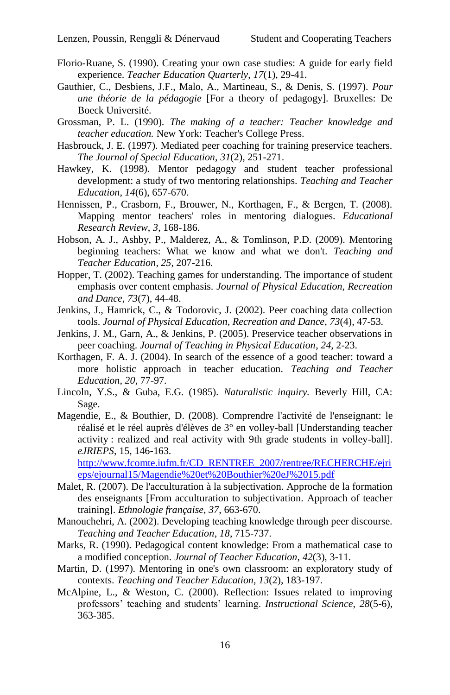- Florio-Ruane, S. (1990). Creating your own case studies: A guide for early field experience. *Teacher Education Quarterly*, *17*(1), 29-41.
- Gauthier, C., Desbiens, J.F., Malo, A., Martineau, S., & Denis, S. (1997). *Pour une théorie de la pédagogie* [For a theory of pedagogy]*.* Bruxelles: De Boeck Université.
- Grossman, P. L. (1990). *The making of a teacher: Teacher knowledge and teacher education.* New York: Teacher's College Press.
- Hasbrouck, J. E. (1997). Mediated peer coaching for training preservice teachers. *The Journal of Special Education*, *31*(2), 251-271.
- Hawkey, K. (1998). Mentor pedagogy and student teacher professional development: a study of two mentoring relationships. *Teaching and Teacher Education*, *14*(6), 657-670.
- Hennissen, P., Crasborn, F., Brouwer, N., Korthagen, F., & Bergen, T. (2008). Mapping mentor teachers' roles in mentoring dialogues. *Educational Research Review*, *3*, 168-186.
- Hobson, A. J., Ashby, P., Malderez, A., & Tomlinson, P.D. (2009). Mentoring beginning teachers: What we know and what we don't. *Teaching and Teacher Education*, *25*, 207-216.
- Hopper, T. (2002). Teaching games for understanding. The importance of student emphasis over content emphasis. *Journal of Physical Education, Recreation and Dance*, *73*(7), 44-48.
- Jenkins, J., Hamrick, C., & Todorovic, J. (2002). Peer coaching data collection tools. *Journal of Physical Education, Recreation and Dance*, *73*(4), 47-53.
- Jenkins, J. M., Garn, A., & Jenkins, P. (2005). Preservice teacher observations in peer coaching. *Journal of Teaching in Physical Education*, *24*, 2-23.
- Korthagen, F. A. J. (2004). In search of the essence of a good teacher: toward a more holistic approach in teacher education. *Teaching and Teacher Education*, *20*, 77-97.
- Lincoln, Y.S., & Guba, E.G. (1985). *Naturalistic inquiry.* Beverly Hill, CA: Sage.
- Magendie, E., & Bouthier, D. (2008). Comprendre l'activité de l'enseignant: le réalisé et le réel auprès d'élèves de 3° en volley-ball [Understanding teacher activity : realized and real activity with 9th grade students in volley-ball]. *eJRIEPS*, 15, 146-163. [http://www.fcomte.iufm.fr/CD\\_RENTREE\\_2007/rentree/RECHERCHE/ejri](http://www.fcomte.iufm.fr/CD_RENTREE_2007/rentree/RECHERCHE/ejrieps/ejournal15/Magendie%20et%20Bouthier%20eJ%2015.pdf)

[eps/ejournal15/Magendie%20et%20Bouthier%20eJ%2015.pdf](http://www.fcomte.iufm.fr/CD_RENTREE_2007/rentree/RECHERCHE/ejrieps/ejournal15/Magendie%20et%20Bouthier%20eJ%2015.pdf)

- Malet, R. (2007). De l'acculturation à la subjectivation. Approche de la formation des enseignants [From acculturation to subjectivation. Approach of teacher training]. *Ethnologie française*, *37*, 663-670.
- Manouchehri, A. (2002). Developing teaching knowledge through peer discourse. *Teaching and Teacher Education*, *18*, 715-737.
- Marks, R. (1990). Pedagogical content knowledge: From a mathematical case to a modified conception. *Journal of Teacher Education*, *42*(3), 3-11.
- Martin, D. (1997). Mentoring in one's own classroom: an exploratory study of contexts. *Teaching and Teacher Education*, *13*(2), 183-197.
- McAlpine, L., & Weston, C. (2000). Reflection: Issues related to improving professors" teaching and students" learning. *Instructional Science*, *28*(5-6), 363-385.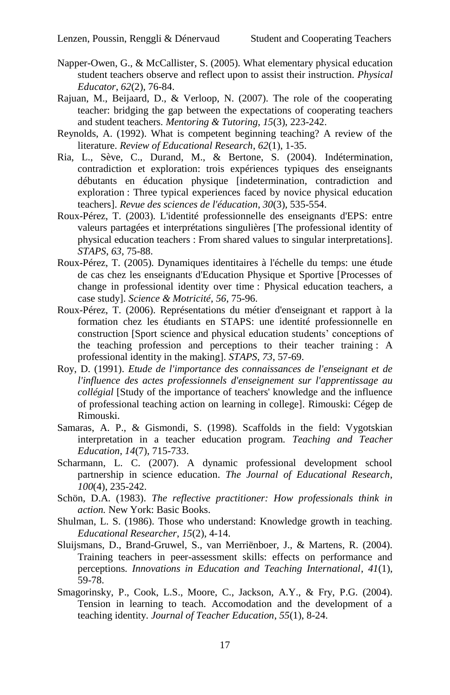- Napper-Owen, G., & McCallister, S. (2005). What elementary physical education student teachers observe and reflect upon to assist their instruction. *Physical Educator*, *62*(2), 76-84.
- Rajuan, M., Beijaard, D., & Verloop, N. (2007). The role of the cooperating teacher: bridging the gap between the expectations of cooperating teachers and student teachers. *Mentoring & Tutoring*, *15*(3), 223-242.
- Reynolds, A. (1992). What is competent beginning teaching? A review of the literature. *Review of Educational Research*, *62*(1), 1-35.
- Ria, L., Sève, C., Durand, M., & Bertone, S. (2004). Indétermination, contradiction et exploration: trois expériences typiques des enseignants débutants en éducation physique [indetermination, contradiction and exploration : Three typical experiences faced by novice physical education teachers]. *Revue des sciences de l'éducation*, *30*(3), 535-554.
- Roux-Pérez, T. (2003). L'identité professionnelle des enseignants d'EPS: entre valeurs partagées et interprétations singulières [The professional identity of physical education teachers : From shared values to singular interpretations]. *STAPS*, *63*, 75-88.
- Roux-Pérez, T. (2005). Dynamiques identitaires à l'échelle du temps: une étude de cas chez les enseignants d'Education Physique et Sportive [Processes of change in professional identity over time : Physical education teachers, a case study]. *Science & Motricité*, *56*, 75-96.
- Roux-Pérez, T. (2006). Représentations du métier d'enseignant et rapport à la formation chez les étudiants en STAPS: une identité professionnelle en construction [Sport science and physical education students" conceptions of the teaching profession and perceptions to their teacher training : A professional identity in the making]. *STAPS*, *73*, 57-69.
- Roy, D. (1991). *Etude de l'importance des connaissances de l'enseignant et de l'influence des actes professionnels d'enseignement sur l'apprentissage au collégial* [Study of the importance of teachers' knowledge and the influence of professional teaching action on learning in college]*.* Rimouski: Cégep de Rimouski.
- Samaras, A. P., & Gismondi, S. (1998). Scaffolds in the field: Vygotskian interpretation in a teacher education program. *Teaching and Teacher Education*, *14*(7), 715-733.
- Scharmann, L. C. (2007). A dynamic professional development school partnership in science education. *The Journal of Educational Research*, *100*(4), 235-242.
- Schön, D.A. (1983). *The reflective practitioner: How professionals think in action.* New York: Basic Books.
- Shulman, L. S. (1986). Those who understand: Knowledge growth in teaching. *Educational Researcher*, *15*(2), 4-14.
- Sluijsmans, D., Brand-Gruwel, S., van Merriënboer, J., & Martens, R. (2004). Training teachers in peer-assessment skills: effects on performance and perceptions. *Innovations in Education and Teaching International*, *41*(1), 59-78.
- Smagorinsky, P., Cook, L.S., Moore, C., Jackson, A.Y., & Fry, P.G. (2004). Tension in learning to teach. Accomodation and the development of a teaching identity. *Journal of Teacher Education*, *55*(1), 8-24.